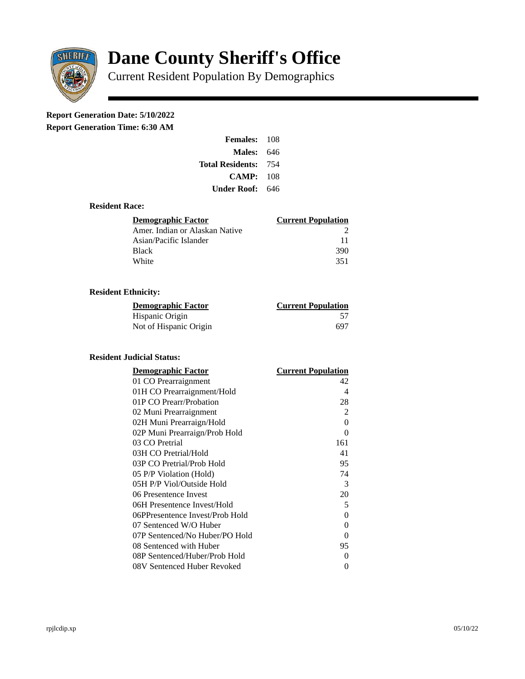

# **Dane County Sheriff's Office**

Current Resident Population By Demographics

## **Report Generation Date: 5/10/2022**

**Report Generation Time: 6:30 AM** 

| <b>Females: 108</b> |       |
|---------------------|-------|
| <b>Males: 646</b>   |       |
| Total Residents:    | - 754 |
| CAMP: 108           |       |
| Under Roof: 646     |       |

#### **Resident Race:**

| Demographic Factor             | <b>Current Population</b> |
|--------------------------------|---------------------------|
| Amer. Indian or Alaskan Native |                           |
| Asian/Pacific Islander         | 11                        |
| Black                          | 390                       |
| White                          | 351                       |

### **Resident Ethnicity:**

| <u>Demographic Factor</u> | <u>Current Population</u> |
|---------------------------|---------------------------|
| Hispanic Origin           | 57                        |
| Not of Hispanic Origin    | 697                       |

#### **Resident Judicial Status:**

| <u>Demographic Factor</u>       | <u> Current Population</u> |
|---------------------------------|----------------------------|
| 01 CO Prearraignment            | 42                         |
| 01H CO Prearraignment/Hold      | 4                          |
| 01P CO Prearr/Probation         | 28                         |
| 02 Muni Prearraignment          | $\overline{2}$             |
| 02H Muni Prearraign/Hold        | 0                          |
| 02P Muni Prearraign/Prob Hold   | 0                          |
| 03 CO Pretrial                  | 161                        |
| 03H CO Pretrial/Hold            | 41                         |
| 03P CO Pretrial/Prob Hold       | 95                         |
| 05 P/P Violation (Hold)         | 74                         |
| 05H P/P Viol/Outside Hold       | 3                          |
| 06 Presentence Invest           | 20                         |
| 06H Presentence Invest/Hold     | 5                          |
| 06PPresentence Invest/Prob Hold | 0                          |
| 07 Sentenced W/O Huber          | 0                          |
| 07P Sentenced/No Huber/PO Hold  | 0                          |
| 08 Sentenced with Huber         | 95                         |
| 08P Sentenced/Huber/Prob Hold   | 0                          |
| 08V Sentenced Huber Revoked     | 0                          |